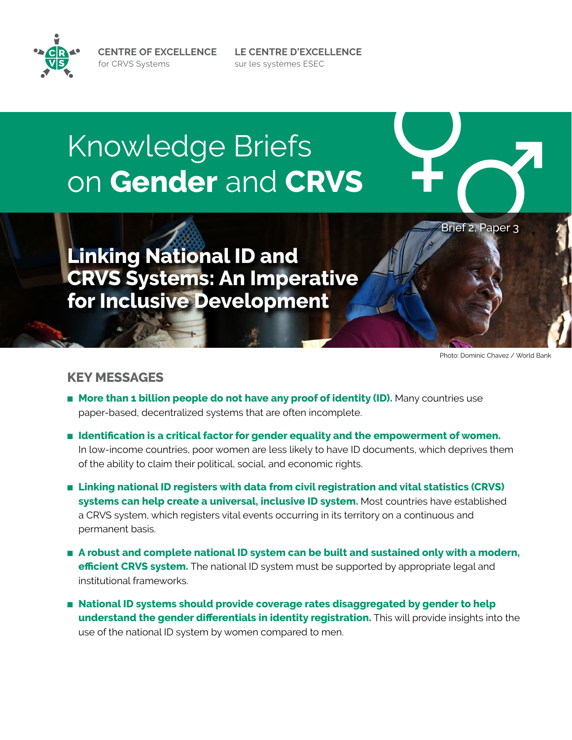**CENTRE OF EXCELLENCE** for CRVS Systems

Knowledge Briefs on **Gender** and **CRVS**

**Linking National ID and CRVS Systems: An Imperative for Inclusive Development**

Photo: Dominic Chavez / World Bank

Brief 2, Paper 3

# **KEY MESSAGES**

- More than 1 billion people do not have any proof of identity (ID). Many countries use paper-based, decentralized systems that are often incomplete.
- **Identification is a critical factor for gender equality and the empowerment of women.** In low-income countries, poor women are less likely to have ID documents, which deprives them of the ability to claim their political, social, and economic rights.

**LE CENTRE D'EXCELLENCE**

sur les systèmes ESEC

- Linking national ID registers with data from civil registration and vital statistics (CRVS) **systems can help create a universal, inclusive ID system.** Most countries have established a CRVS system, which registers vital events occurring in its territory on a continuous and permanent basis.
- **A robust and complete national ID system can be built and sustained only with a modern, efficient CRVS system.** The national ID system must be supported by appropriate legal and institutional frameworks.
- **National ID systems should provide coverage rates disaggregated by gender to help understand the gender differentials in identity registration.** This will provide insights into the use of the national ID system by women compared to men.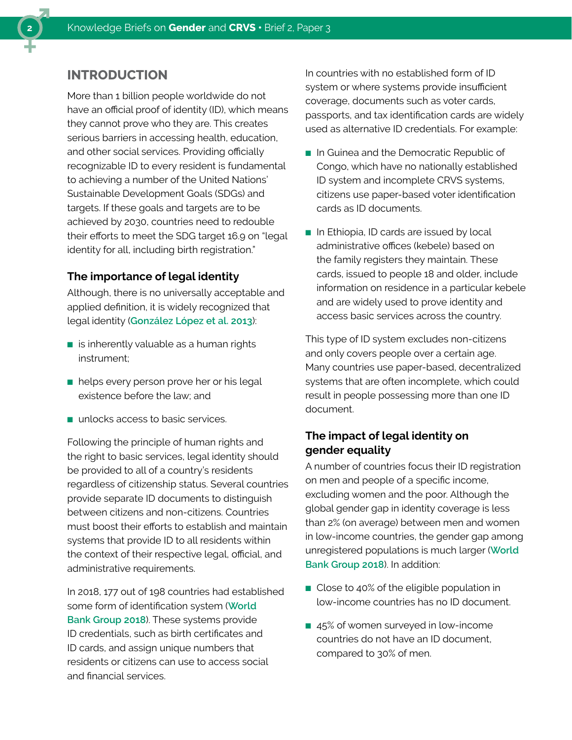

# **INTRODUCTION**

More than 1 billion people worldwide do not have an official proof of identity (ID), which means they cannot prove who they are. This creates serious barriers in accessing health, education, and other social services. Providing officially recognizable ID to every resident is fundamental to achieving a number of the United Nations' Sustainable Development Goals (SDGs) and targets. If these goals and targets are to be achieved by 2030, countries need to redouble their efforts to meet the SDG target 16.9 on "legal identity for all, including birth registration."

## **The importance of legal identity**

Although, there is no universally acceptable and applied definition, it is widely recognized that legal identity (**[González López et al. 2013](https://www.oecd-ilibrary.org/docserver/ba046677-en.pdf?expires=1559663719&id=id&accname=guest&checksum=C52DCE6118900B0255C55FDB6BB8441B)**):

- $\blacksquare$  is inherently valuable as a human rights instrument;
- helps every person prove her or his legal existence before the law; and
- unlocks access to basic services.

Following the principle of human rights and the right to basic services, legal identity should be provided to all of a country's residents regardless of citizenship status. Several countries provide separate ID documents to distinguish between citizens and non-citizens. Countries must boost their efforts to establish and maintain systems that provide ID to all residents within the context of their respective legal, official, and administrative requirements.

In 2018, 177 out of 198 countries had established some form of identification system (**[World](http://documents.worldbank.org/curated/en/953621531854471275/Global-ID-Coverage-by-the-Numbers-Insights-from-the-ID4D-Findex-Survey.pdf)  [Bank Group 2018](http://documents.worldbank.org/curated/en/953621531854471275/Global-ID-Coverage-by-the-Numbers-Insights-from-the-ID4D-Findex-Survey.pdf)**). These systems provide ID credentials, such as birth certificates and ID cards, and assign unique numbers that residents or citizens can use to access social and financial services.

In countries with no established form of ID system or where systems provide insufficient coverage, documents such as voter cards, passports, and tax identification cards are widely used as alternative ID credentials. For example:

- In Guinea and the Democratic Republic of Congo, which have no nationally established ID system and incomplete CRVS systems, citizens use paper-based voter identification cards as ID documents.
- In Ethiopia, ID cards are issued by local administrative offices (kebele) based on the family registers they maintain. These cards, issued to people 18 and older, include information on residence in a particular kebele and are widely used to prove identity and access basic services across the country.

This type of ID system excludes non-citizens and only covers people over a certain age. Many countries use paper-based, decentralized systems that are often incomplete, which could result in people possessing more than one ID document.

# **The impact of legal identity on gender equality**

A number of countries focus their ID registration on men and people of a specific income, excluding women and the poor. Although the global gender gap in identity coverage is less than 2% (on average) between men and women in low-income countries, the gender gap among unregistered populations is much larger (**[World](http://documents.worldbank.org/curated/en/953621531854471275/Global-ID-Coverage-by-the-Numbers-Insights-from-the-ID4D-Findex-Survey.pdf)  [Bank Group 2018](http://documents.worldbank.org/curated/en/953621531854471275/Global-ID-Coverage-by-the-Numbers-Insights-from-the-ID4D-Findex-Survey.pdf)**). In addition:

- Close to 40% of the eligible population in low‑income countries has no ID document.
- 45% of women surveyed in low-income countries do not have an ID document, compared to 30% of men.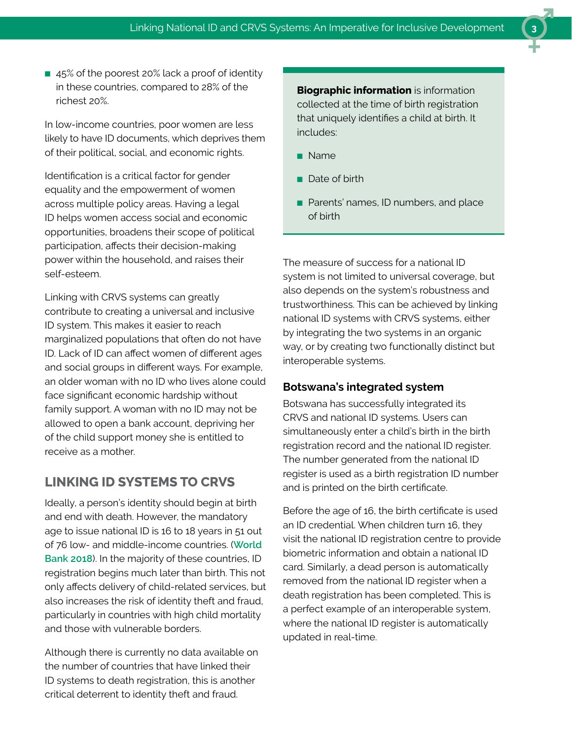■ 45% of the poorest 20% lack a proof of identity in these countries, compared to 28% of the richest 20%.

In low-income countries, poor women are less likely to have ID documents, which deprives them of their political, social, and economic rights.

Identification is a critical factor for gender equality and the empowerment of women across multiple policy areas. Having a legal ID helps women access social and economic opportunities, broadens their scope of political participation, affects their decision-making power within the household, and raises their self-esteem.

Linking with CRVS systems can greatly contribute to creating a universal and inclusive ID system. This makes it easier to reach marginalized populations that often do not have ID. Lack of ID can affect women of different ages and social groups in different ways. For example, an older woman with no ID who lives alone could face significant economic hardship without family support. A woman with no ID may not be allowed to open a bank account, depriving her of the child support money she is entitled to receive as a mother.

# **LINKING ID SYSTEMS TO CRVS**

Ideally, a person's identity should begin at birth and end with death. However, the mandatory age to issue national ID is 16 to 18 years in 51 out of 76 low- and middle-income countries. (**[World](http://id4d.worldbank.org/global-dataset)  [Bank 2018](http://id4d.worldbank.org/global-dataset)**). In the majority of these countries, ID registration begins much later than birth. This not only affects delivery of child-related services, but also increases the risk of identity theft and fraud, particularly in countries with high child mortality and those with vulnerable borders.

Although there is currently no data available on the number of countries that have linked their ID systems to death registration, this is another critical deterrent to identity theft and fraud.

**Biographic information** is information collected at the time of birth registration that uniquely identifies a child at birth. It includes:

- Name
- Date of birth
- Parents' names, ID numbers, and place of birth

The measure of success for a national ID system is not limited to universal coverage, but also depends on the system's robustness and trustworthiness. This can be achieved by linking national ID systems with CRVS systems, either by integrating the two systems in an organic way, or by creating two functionally distinct but interoperable systems.

#### **Botswana's integrated system**

Botswana has successfully integrated its CRVS and national ID systems. Users can simultaneously enter a child's birth in the birth registration record and the national ID register. The number generated from the national ID register is used as a birth registration ID number and is printed on the birth certificate.

Before the age of 16, the birth certificate is used an ID credential. When children turn 16, they visit the national ID registration centre to provide biometric information and obtain a national ID card. Similarly, a dead person is automatically removed from the national ID register when a death registration has been completed. This is a perfect example of an interoperable system, where the national ID register is automatically updated in real-time.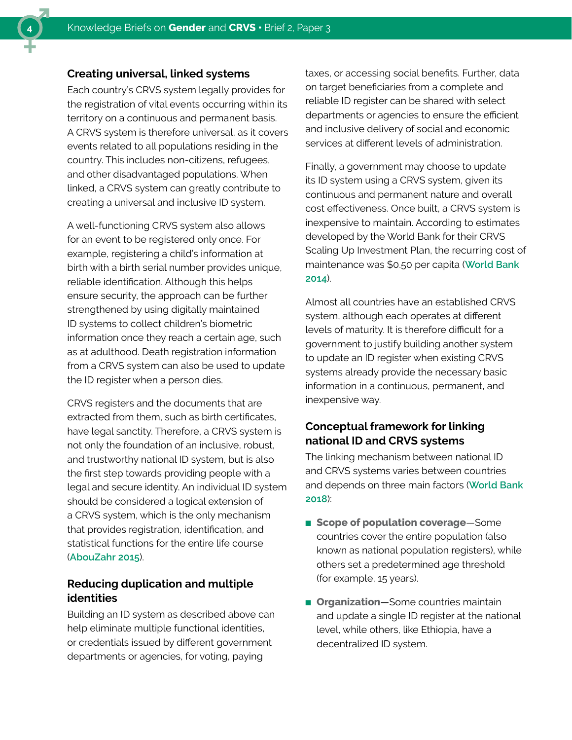#### **Creating universal, linked systems**

Each country's CRVS system legally provides for the registration of vital events occurring within its territory on a continuous and permanent basis. A CRVS system is therefore universal, as it covers events related to all populations residing in the country. This includes non-citizens, refugees, and other disadvantaged populations. When linked, a CRVS system can greatly contribute to creating a universal and inclusive ID system.

A well-functioning CRVS system also allows for an event to be registered only once. For example, registering a child's information at birth with a birth serial number provides unique, reliable identification. Although this helps ensure security, the approach can be further strengthened by using digitally maintained ID systems to collect children's biometric information once they reach a certain age, such as at adulthood. Death registration information from a CRVS system can also be used to update the ID register when a person dies.

CRVS registers and the documents that are extracted from them, such as birth certificates, have legal sanctity. Therefore, a CRVS system is not only the foundation of an inclusive, robust, and trustworthy national ID system, but is also the first step towards providing people with a legal and secure identity. An individual ID system should be considered a logical extension of a CRVS system, which is the only mechanism that provides registration, identification, and statistical functions for the entire life course (**[AbouZahr 2015](https://www.thelancet.com/pdfs/journals/lancet/PIIS0140-6736(15)60173-8.pdf)**).

### **Reducing duplication and multiple identities**

Building an ID system as described above can help eliminate multiple functional identities, or credentials issued by different government departments or agencies, for voting, paying

taxes, or accessing social benefits. Further, data on target beneficiaries from a complete and reliable ID register can be shared with select departments or agencies to ensure the efficient and inclusive delivery of social and economic services at different levels of administration.

Finally, a government may choose to update its ID system using a CRVS system, given its continuous and permanent nature and overall cost effectiveness. Once built, a CRVS system is inexpensive to maintain. According to estimates developed by the World Bank for their CRVS Scaling Up Investment Plan, the recurring cost of maintenance was \$0.50 per capita (**[World Bank](http://www.worldbank.org/content/dam/Worldbank/document/HDN/Health/CRVS%20Scaling-up%20plan%20final%205-28-14web.pdf)  [2014](http://www.worldbank.org/content/dam/Worldbank/document/HDN/Health/CRVS%20Scaling-up%20plan%20final%205-28-14web.pdf)**).

Almost all countries have an established CRVS system, although each operates at different levels of maturity. It is therefore difficult for a government to justify building another system to update an ID register when existing CRVS systems already provide the necessary basic information in a continuous, permanent, and inexpensive way.

## **Conceptual framework for linking national ID and CRVS systems**

The linking mechanism between national ID and CRVS systems varies between countries and depends on three main factors (**[World Bank](http://id4d.worldbank.org/global-dataset)  [2018](http://id4d.worldbank.org/global-dataset)**):

- **Scope of population coverage**—Some countries cover the entire population (also known as national population registers), while others set a predetermined age threshold (for example, 15 years).
- **Organization**—Some countries maintain and update a single ID register at the national level, while others, like Ethiopia, have a decentralized ID system.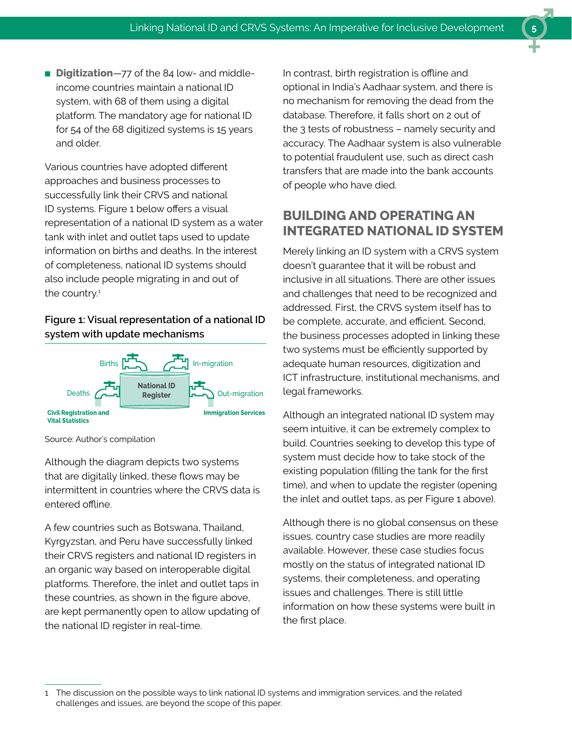■ **Digitization**—77 of the 84 low- and middleincome countries maintain a national ID system, with 68 of them using a digital platform. The mandatory age for national ID for 54 of the 68 digitized systems is 15 years and older.

Various countries have adopted different approaches and business processes to successfully link their CRVS and national ID systems. Figure 1 below offers a visual representation of a national ID system as a water tank with inlet and outlet taps used to update information on births and deaths. In the interest of completeness, national ID systems should also include people migrating in and out of the country.<sup>1</sup>

### **Figure 1: Visual representation of a national ID system with update mechanisms**



Source: Author's compilation

Although the diagram depicts two systems that are digitally linked, these flows may be intermittent in countries where the CRVS data is entered offline.

A few countries such as Botswana, Thailand, Kyrgyzstan, and Peru have successfully linked their CRVS registers and national ID registers in an organic way based on interoperable digital platforms. Therefore, the inlet and outlet taps in these countries, as shown in the figure above, are kept permanently open to allow updating of the national ID register in real-time.

In contrast, birth registration is offline and optional in India's Aadhaar system, and there is no mechanism for removing the dead from the database. Therefore, it falls short on 2 out of the 3 tests of robustness – namely security and accuracy. The Aadhaar system is also vulnerable to potential fraudulent use, such as direct cash transfers that are made into the bank accounts of people who have died.

# **BUILDING AND OPERATING AN INTEGRATED NATIONAL ID SYSTEM**

Merely linking an ID system with a CRVS system doesn't guarantee that it will be robust and inclusive in all situations. There are other issues and challenges that need to be recognized and addressed. First, the CRVS system itself has to be complete, accurate, and efficient. Second, the business processes adopted in linking these two systems must be efficiently supported by adequate human resources, digitization and ICT infrastructure, institutional mechanisms, and legal frameworks.

Although an integrated national ID system may seem intuitive, it can be extremely complex to build. Countries seeking to develop this type of system must decide how to take stock of the existing population (filling the tank for the first time), and when to update the register (opening the inlet and outlet taps, as per Figure 1 above).

Although there is no global consensus on these issues, country case studies are more readily available. However, these case studies focus mostly on the status of integrated national ID systems, their completeness, and operating issues and challenges. There is still little information on how these systems were built in the first place.

<sup>1</sup> The discussion on the possible ways to link national ID systems and immigration services, and the related challenges and issues, are beyond the scope of this paper.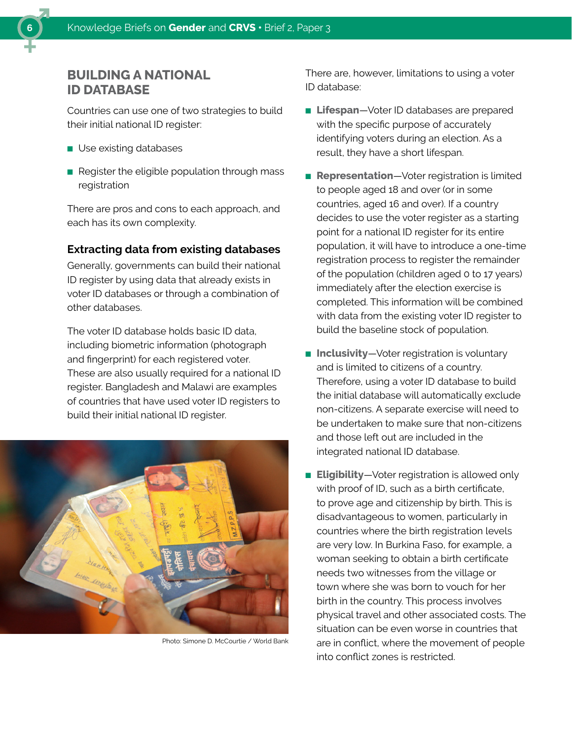

Countries can use one of two strategies to build their initial national ID register:

- Use existing databases
- Register the eligible population through mass registration

There are pros and cons to each approach, and each has its own complexity.

#### **Extracting data from existing databases**

Generally, governments can build their national ID register by using data that already exists in voter ID databases or through a combination of other databases.

The voter ID database holds basic ID data, including biometric information (photograph and fingerprint) for each registered voter. These are also usually required for a national ID register. Bangladesh and Malawi are examples of countries that have used voter ID registers to build their initial national ID register.



Photo: Simone D. McCourtie / World Bank

There are, however, limitations to using a voter ID database:

- **Lifespan**—Voter ID databases are prepared with the specific purpose of accurately identifying voters during an election. As a result, they have a short lifespan.
- **Representation**—Voter registration is limited to people aged 18 and over (or in some countries, aged 16 and over). If a country decides to use the voter register as a starting point for a national ID register for its entire population, it will have to introduce a one-time registration process to register the remainder of the population (children aged 0 to 17 years) immediately after the election exercise is completed. This information will be combined with data from the existing voter ID register to build the baseline stock of population.
- **Inclusivity**—Voter registration is voluntary and is limited to citizens of a country. Therefore, using a voter ID database to build the initial database will automatically exclude non‑citizens. A separate exercise will need to be undertaken to make sure that non-citizens and those left out are included in the integrated national ID database.
- **Eligibility**—Voter registration is allowed only with proof of ID, such as a birth certificate, to prove age and citizenship by birth. This is disadvantageous to women, particularly in countries where the birth registration levels are very low. In Burkina Faso, for example, a woman seeking to obtain a birth certificate needs two witnesses from the village or town where she was born to vouch for her birth in the country. This process involves physical travel and other associated costs. The situation can be even worse in countries that are in conflict, where the movement of people into conflict zones is restricted.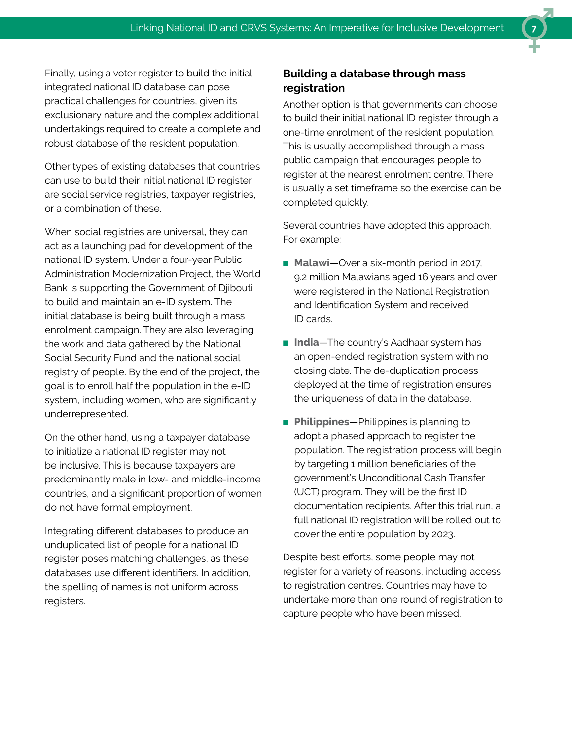Finally, using a voter register to build the initial integrated national ID database can pose practical challenges for countries, given its exclusionary nature and the complex additional undertakings required to create a complete and robust database of the resident population.

Other types of existing databases that countries can use to build their initial national ID register are social service registries, taxpayer registries, or a combination of these.

When social registries are universal, they can act as a launching pad for development of the national ID system. Under a four-year Public Administration Modernization Project, the World Bank is supporting the Government of Djibouti to build and maintain an e-ID system. The initial database is being built through a mass enrolment campaign. They are also leveraging the work and data gathered by the National Social Security Fund and the national social registry of people. By the end of the project, the goal is to enroll half the population in the e-ID system, including women, who are significantly underrepresented.

On the other hand, using a taxpayer database to initialize a national ID register may not be inclusive. This is because taxpayers are predominantly male in low- and middle-income countries, and a significant proportion of women do not have formal employment.

Integrating different databases to produce an unduplicated list of people for a national ID register poses matching challenges, as these databases use different identifiers. In addition, the spelling of names is not uniform across registers.

## **Building a database through mass registration**

Another option is that governments can choose to build their initial national ID register through a one-time enrolment of the resident population. This is usually accomplished through a mass public campaign that encourages people to register at the nearest enrolment centre. There is usually a set timeframe so the exercise can be completed quickly.

Several countries have adopted this approach. For example:

- **Malawi**—Over a six-month period in 2017, 9.2 million Malawians aged 16 years and over were registered in the National Registration and Identification System and received ID cards.
- **India**—The country's Aadhaar system has an open-ended registration system with no closing date. The de-duplication process deployed at the time of registration ensures the uniqueness of data in the database.
- **Philippines**—Philippines is planning to adopt a phased approach to register the population. The registration process will begin by targeting 1 million beneficiaries of the government's Unconditional Cash Transfer (UCT) program. They will be the first ID documentation recipients. After this trial run, a full national ID registration will be rolled out to cover the entire population by 2023.

Despite best efforts, some people may not register for a variety of reasons, including access to registration centres. Countries may have to undertake more than one round of registration to capture people who have been missed.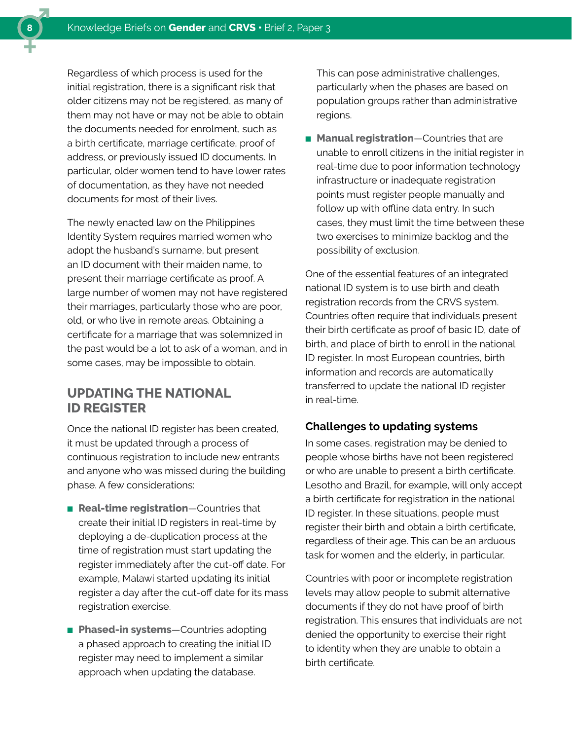Regardless of which process is used for the initial registration, there is a significant risk that older citizens may not be registered, as many of them may not have or may not be able to obtain the documents needed for enrolment, such as a birth certificate, marriage certificate, proof of address, or previously issued ID documents. In particular, older women tend to have lower rates of documentation, as they have not needed documents for most of their lives.

The newly enacted law on the Philippines Identity System requires married women who adopt the husband's surname, but present an ID document with their maiden name, to present their marriage certificate as proof. A large number of women may not have registered their marriages, particularly those who are poor, old, or who live in remote areas. Obtaining a certificate for a marriage that was solemnized in the past would be a lot to ask of a woman, and in some cases, may be impossible to obtain.

# **UPDATING THE NATIONAL ID REGISTER**

Once the national ID register has been created, it must be updated through a process of continuous registration to include new entrants and anyone who was missed during the building phase. A few considerations:

- **Real-time registration**—Countries that create their initial ID registers in real-time by deploying a de-duplication process at the time of registration must start updating the register immediately after the cut-off date. For example, Malawi started updating its initial register a day after the cut-off date for its mass registration exercise.
- **Phased-in systems**—Countries adopting a phased approach to creating the initial ID register may need to implement a similar approach when updating the database.

This can pose administrative challenges, particularly when the phases are based on population groups rather than administrative regions.

■ **Manual registration**—Countries that are unable to enroll citizens in the initial register in real-time due to poor information technology infrastructure or inadequate registration points must register people manually and follow up with offline data entry. In such cases, they must limit the time between these two exercises to minimize backlog and the possibility of exclusion.

One of the essential features of an integrated national ID system is to use birth and death registration records from the CRVS system. Countries often require that individuals present their birth certificate as proof of basic ID, date of birth, and place of birth to enroll in the national ID register. In most European countries, birth information and records are automatically transferred to update the national ID register in real-time.

#### **Challenges to updating systems**

In some cases, registration may be denied to people whose births have not been registered or who are unable to present a birth certificate. Lesotho and Brazil, for example, will only accept a birth certificate for registration in the national ID register. In these situations, people must register their birth and obtain a birth certificate, regardless of their age. This can be an arduous task for women and the elderly, in particular.

Countries with poor or incomplete registration levels may allow people to submit alternative documents if they do not have proof of birth registration. This ensures that individuals are not denied the opportunity to exercise their right to identity when they are unable to obtain a birth certificate.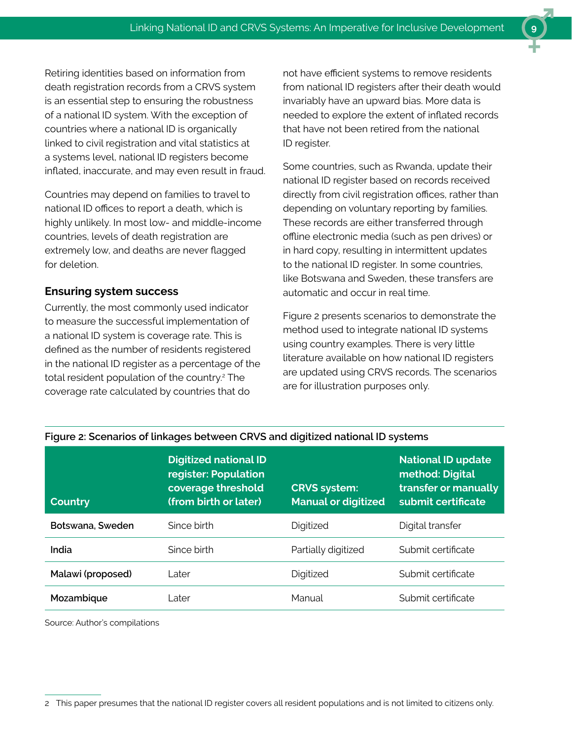Retiring identities based on information from death registration records from a CRVS system is an essential step to ensuring the robustness of a national ID system. With the exception of countries where a national ID is organically linked to civil registration and vital statistics at a systems level, national ID registers become inflated, inaccurate, and may even result in fraud.

Countries may depend on families to travel to national ID offices to report a death, which is highly unlikely. In most low- and middle‑income countries, levels of death registration are extremely low, and deaths are never flagged for deletion.

#### **Ensuring system success**

Currently, the most commonly used indicator to measure the successful implementation of a national ID system is coverage rate. This is defined as the number of residents registered in the national ID register as a percentage of the total resident population of the country.<sup>2</sup> The coverage rate calculated by countries that do

not have efficient systems to remove residents from national ID registers after their death would invariably have an upward bias. More data is needed to explore the extent of inflated records that have not been retired from the national ID register.

Some countries, such as Rwanda, update their national ID register based on records received directly from civil registration offices, rather than depending on voluntary reporting by families. These records are either transferred through offline electronic media (such as pen drives) or in hard copy, resulting in intermittent updates to the national ID register. In some countries, like Botswana and Sweden, these transfers are automatic and occur in real time.

Figure 2 presents scenarios to demonstrate the method used to integrate national ID systems using country examples. There is very little literature available on how national ID registers are updated using CRVS records. The scenarios are for illustration purposes only.

| <b>Country</b>    | <b>Digitized national ID</b><br>register: Population<br>coverage threshold<br>(from birth or later) | <b>CRVS system:</b><br><b>Manual or digitized</b> | <b>National ID update</b><br>method: Digital<br>transfer or manually<br>submit certificate |
|-------------------|-----------------------------------------------------------------------------------------------------|---------------------------------------------------|--------------------------------------------------------------------------------------------|
| Botswana, Sweden  | Since birth                                                                                         | Digitized                                         | Digital transfer                                                                           |
| India             | Since birth                                                                                         | Partially digitized                               | Submit certificate                                                                         |
| Malawi (proposed) | Later                                                                                               | Digitized                                         | Submit certificate                                                                         |
| Mozambique        | I ater                                                                                              | Manual                                            | Submit certificate                                                                         |

#### **Figure 2: Scenarios of linkages between CRVS and digitized national ID systems**

Source: Author's compilations

2 This paper presumes that the national ID register covers all resident populations and is not limited to citizens only.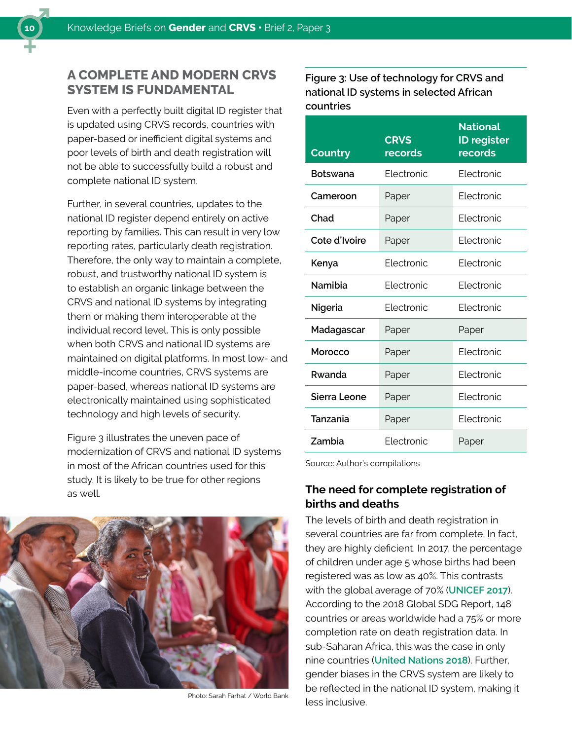# **A COMPLETE AND MODERN CRVS SYSTEM IS FUNDAMENTAL**

Even with a perfectly built digital ID register that is updated using CRVS records, countries with paper-based or inefficient digital systems and poor levels of birth and death registration will not be able to successfully build a robust and complete national ID system.

Further, in several countries, updates to the national ID register depend entirely on active reporting by families. This can result in very low reporting rates, particularly death registration. Therefore, the only way to maintain a complete, robust, and trustworthy national ID system is to establish an organic linkage between the CRVS and national ID systems by integrating them or making them interoperable at the individual record level. This is only possible when both CRVS and national ID systems are maintained on digital platforms. In most low- and middle-income countries, CRVS systems are paper-based, whereas national ID systems are electronically maintained using sophisticated technology and high levels of security.

Figure 3 illustrates the uneven pace of modernization of CRVS and national ID systems in most of the African countries used for this study. It is likely to be true for other regions as well.



Photo: Sarah Farhat / World Bank

**Figure 3: Use of technology for CRVS and national ID systems in selected African countries**

| Country         | <b>CRVS</b><br>records | <b>National</b><br><b>ID register</b><br>records |
|-----------------|------------------------|--------------------------------------------------|
| <b>Botswana</b> | Flectronic             | Flectronic                                       |
| Cameroon        | Paper                  | <b>Flectronic</b>                                |
| Chad            | Paper                  | Flectronic                                       |
| Cote d'Ivoire   | Paper                  | <b>Electronic</b>                                |
| Kenya           | Flectronic             | Flectronic                                       |
| Namibia         | Flectronic             | Flectronic                                       |
| Nigeria         | Flectronic             | Flectronic                                       |
| Madagascar      | Paper                  | Paper                                            |
| Morocco         | Paper                  | Flectronic                                       |
| Rwanda          | Paper                  | <b>Electronic</b>                                |
| Sierra Leone    | Paper                  | Flectronic                                       |
| Tanzania        | Paper                  | <b>Electronic</b>                                |
| Zambia          | <b>Flectronic</b>      | Paper                                            |

Source: Author's compilations

### **The need for complete registration of births and deaths**

The levels of birth and death registration in several countries are far from complete. In fact, they are highly deficient. In 2017, the percentage of children under age 5 whose births had been registered was as low as 40%. This contrasts with the global average of 70% (**[UNICEF 2017](https://www.unicef.org/sowc2017/)**). According to the 2018 Global SDG Report, 148 countries or areas worldwide had a 75% or more completion rate on death registration data. In sub-Saharan Africa, this was the case in only nine countries (**[United Nations 2018](https://www.un.org/development/desa/publications/the-sustainable-development-goals-report-2018.html)**). Further, gender biases in the CRVS system are likely to be reflected in the national ID system, making it less inclusive.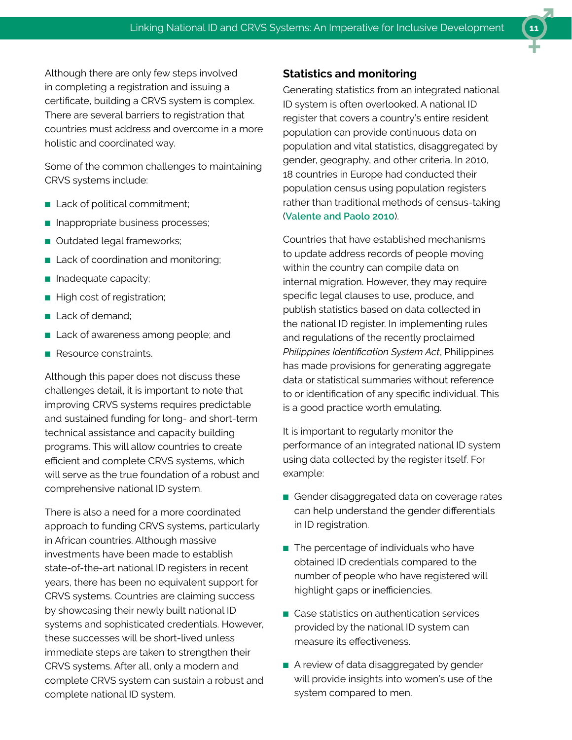Although there are only few steps involved in completing a registration and issuing a certificate, building a CRVS system is complex. There are several barriers to registration that countries must address and overcome in a more holistic and coordinated way.

Some of the common challenges to maintaining CRVS systems include:

- Lack of political commitment;
- Inappropriate business processes;
- Outdated legal frameworks;
- Lack of coordination and monitoring;
- Inadequate capacity;
- High cost of registration;
- Lack of demand;
- Lack of awareness among people; and
- Resource constraints.

Although this paper does not discuss these challenges detail, it is important to note that improving CRVS systems requires predictable and sustained funding for long- and short-term technical assistance and capacity building programs. This will allow countries to create efficient and complete CRVS systems, which will serve as the true foundation of a robust and comprehensive national ID system.

There is also a need for a more coordinated approach to funding CRVS systems, particularly in African countries. Although massive investments have been made to establish state-of-the-art national ID registers in recent years, there has been no equivalent support for CRVS systems. Countries are claiming success by showcasing their newly built national ID systems and sophisticated credentials. However, these successes will be short-lived unless immediate steps are taken to strengthen their CRVS systems. After all, only a modern and complete CRVS system can sustain a robust and complete national ID system.

#### **Statistics and monitoring**

Generating statistics from an integrated national ID system is often overlooked. A national ID register that covers a country's entire resident population can provide continuous data on population and vital statistics, disaggregated by gender, geography, and other criteria. In 2010, 18 countries in Europe had conducted their population census using population registers rather than traditional methods of census-taking (**[Valente and Paolo 2010](https://www.ined.fr/fichier/s_rubrique/19135/pesa467.en.pdf)**).

Countries that have established mechanisms to update address records of people moving within the country can compile data on internal migration. However, they may require specific legal clauses to use, produce, and publish statistics based on data collected in the national ID register. In implementing rules and regulations of the recently proclaimed *Philippines Identification System Act*, Philippines has made provisions for generating aggregate data or statistical summaries without reference to or identification of any specific individual. This is a good practice worth emulating.

It is important to regularly monitor the performance of an integrated national ID system using data collected by the register itself. For example:

- Gender disaggregated data on coverage rates can help understand the gender differentials in ID registration.
- The percentage of individuals who have obtained ID credentials compared to the number of people who have registered will highlight gaps or inefficiencies.
- Case statistics on authentication services provided by the national ID system can measure its effectiveness.
- A review of data disaggregated by gender will provide insights into women's use of the system compared to men.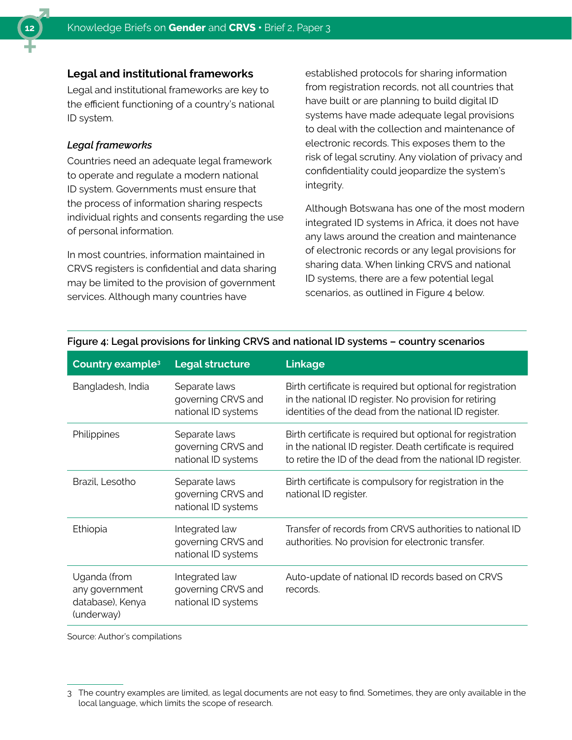

#### **Legal and institutional frameworks**

Legal and institutional frameworks are key to the efficient functioning of a country's national ID system.

#### *Legal frameworks*

Countries need an adequate legal framework to operate and regulate a modern national ID system. Governments must ensure that the process of information sharing respects individual rights and consents regarding the use of personal information.

In most countries, information maintained in CRVS registers is confidential and data sharing may be limited to the provision of government services. Although many countries have

established protocols for sharing information from registration records, not all countries that have built or are planning to build digital ID systems have made adequate legal provisions to deal with the collection and maintenance of electronic records. This exposes them to the risk of legal scrutiny. Any violation of privacy and confidentiality could jeopardize the system's integrity.

Although Botswana has one of the most modern integrated ID systems in Africa, it does not have any laws around the creation and maintenance of electronic records or any legal provisions for sharing data. When linking CRVS and national ID systems, there are a few potential legal scenarios, as outlined in Figure 4 below.

| Country example <sup>3</sup>                                     | <b>Legal structure</b>                                      | Linkage                                                                                                                                                                                  |
|------------------------------------------------------------------|-------------------------------------------------------------|------------------------------------------------------------------------------------------------------------------------------------------------------------------------------------------|
| Bangladesh, India                                                | Separate laws<br>governing CRVS and<br>national ID systems  | Birth certificate is required but optional for registration<br>in the national ID register. No provision for retiring<br>identities of the dead from the national ID register.           |
| Philippines                                                      | Separate laws<br>governing CRVS and<br>national ID systems  | Birth certificate is required but optional for registration<br>in the national ID register. Death certificate is required<br>to retire the ID of the dead from the national ID register. |
| Brazil, Lesotho                                                  | Separate laws<br>governing CRVS and<br>national ID systems  | Birth certificate is compulsory for registration in the<br>national ID register.                                                                                                         |
| Ethiopia                                                         | Integrated law<br>governing CRVS and<br>national ID systems | Transfer of records from CRVS authorities to national ID<br>authorities. No provision for electronic transfer.                                                                           |
| Uganda (from<br>any government<br>database), Kenya<br>(underway) | Integrated law<br>governing CRVS and<br>national ID systems | Auto-update of national ID records based on CRVS<br>records.                                                                                                                             |

#### **Figure 4: Legal provisions for linking CRVS and national ID systems – country scenarios**

Source: Author's compilations

<sup>3</sup> The country examples are limited, as legal documents are not easy to find. Sometimes, they are only available in the local language, which limits the scope of research.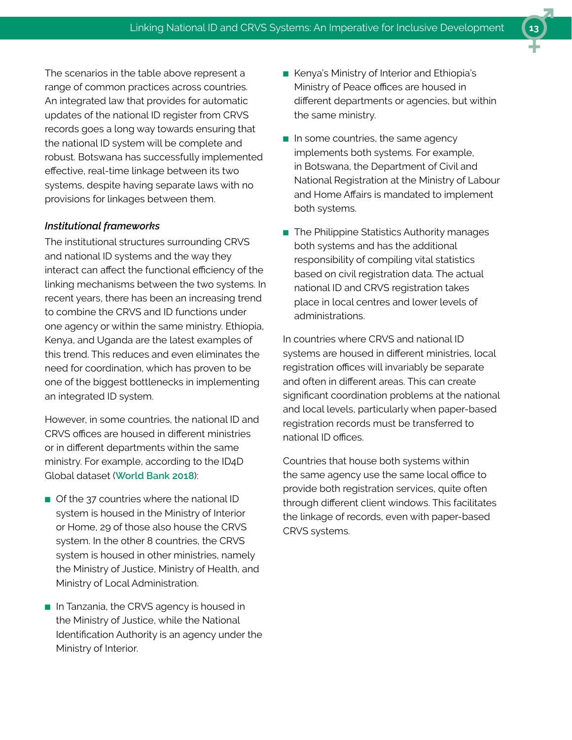The scenarios in the table above represent a range of common practices across countries. An integrated law that provides for automatic updates of the national ID register from CRVS records goes a long way towards ensuring that the national ID system will be complete and robust. Botswana has successfully implemented effective, real-time linkage between its two systems, despite having separate laws with no provisions for linkages between them.

#### *Institutional frameworks*

The institutional structures surrounding CRVS and national ID systems and the way they interact can affect the functional efficiency of the linking mechanisms between the two systems. In recent years, there has been an increasing trend to combine the CRVS and ID functions under one agency or within the same ministry. Ethiopia, Kenya, and Uganda are the latest examples of this trend. This reduces and even eliminates the need for coordination, which has proven to be one of the biggest bottlenecks in implementing an integrated ID system.

However, in some countries, the national ID and CRVS offices are housed in different ministries or in different departments within the same ministry. For example, according to the ID4D Global dataset (**[World Bank 2018](file:datacatalog.worldbank.org/dataset/identification-development-global-dataset)**):

- Of the 37 countries where the national ID system is housed in the Ministry of Interior or Home, 29 of those also house the CRVS system. In the other 8 countries, the CRVS system is housed in other ministries, namely the Ministry of Justice, Ministry of Health, and Ministry of Local Administration.
- In Tanzania, the CRVS agency is housed in the Ministry of Justice, while the National Identification Authority is an agency under the Ministry of Interior.
- Kenya's Ministry of Interior and Ethiopia's Ministry of Peace offices are housed in different departments or agencies, but within the same ministry.
- In some countries, the same agency implements both systems. For example, in Botswana, the Department of Civil and National Registration at the Ministry of Labour and Home Affairs is mandated to implement both systems.
- The Philippine Statistics Authority manages both systems and has the additional responsibility of compiling vital statistics based on civil registration data. The actual national ID and CRVS registration takes place in local centres and lower levels of administrations.

In countries where CRVS and national ID systems are housed in different ministries, local registration offices will invariably be separate and often in different areas. This can create significant coordination problems at the national and local levels, particularly when paper-based registration records must be transferred to national ID offices.

Countries that house both systems within the same agency use the same local office to provide both registration services, quite often through different client windows. This facilitates the linkage of records, even with paper-based CRVS systems.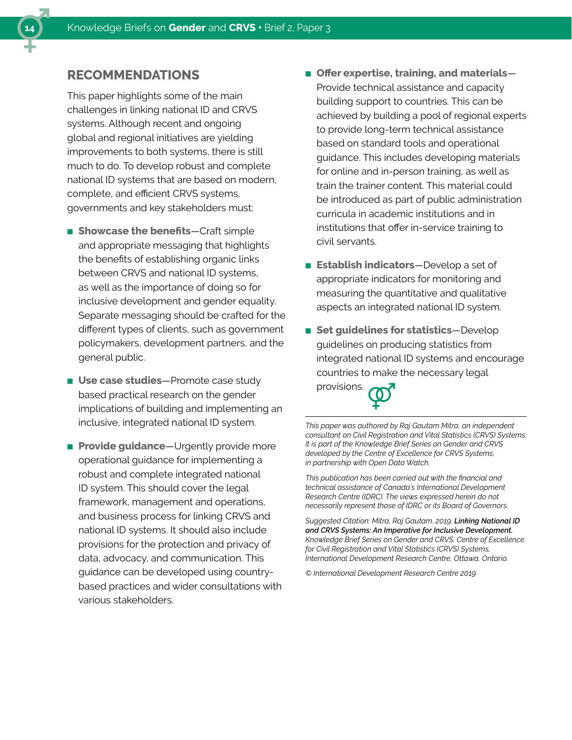# **RECOMMENDATIONS**

This paper highlights some of the main challenges in linking national ID and CRVS systems. Although recent and ongoing global and regional initiatives are yielding improvements to both systems, there is still much to do. To develop robust and complete national ID systems that are based on modern, complete, and efficient CRVS systems, governments and key stakeholders must:

- **Showcase the benefits**—Craft simple and appropriate messaging that highlights the benefits of establishing organic links between CRVS and national ID systems, as well as the importance of doing so for inclusive development and gender equality. Separate messaging should be crafted for the different types of clients, such as government policymakers, development partners, and the general public.
- **Use case studies**—Promote case study based practical research on the gender implications of building and implementing an inclusive, integrated national ID system.
- **Provide guidance**—Urgently provide more operational guidance for implementing a robust and complete integrated national ID system. This should cover the legal framework, management and operations, and business process for linking CRVS and national ID systems. It should also include provisions for the protection and privacy of data, advocacy, and communication. This guidance can be developed using countrybased practices and wider consultations with various stakeholders.
- **Offer expertise, training, and materials** Provide technical assistance and capacity building support to countries. This can be achieved by building a pool of regional experts to provide long-term technical assistance based on standard tools and operational guidance. This includes developing materials for online and in-person training, as well as train the trainer content. This material could be introduced as part of public administration curricula in academic institutions and in institutions that offer in-service training to civil servants.
- **Establish indicators**—Develop a set of appropriate indicators for monitoring and measuring the quantitative and qualitative aspects an integrated national ID system.
- **Set quidelines for statistics**—Develop guidelines on producing statistics from integrated national ID systems and encourage countries to make the necessary legal

provisions.

*This paper was authored by Raj Gautam Mitra, an independent consultant on Civil Registration and Vital Statistics (CRVS) Systems. It is part of the Knowledge Brief Series on Gender and CRVS developed by the Centre of Excellence for CRVS Systems, in partnership with Open Data Watch.* 

*This publication has been carried out with the financial and technical assistance of Canada's International Development Research Centre (IDRC). The views expressed herein do not necessarily represent those of IDRC or its Board of Governors.* 

*Suggested Citation: Mitra, Raj Gautam. 2019. Linking National ID and CRVS Systems: An Imperative for Inclusive Development. Knowledge Brief Series on Gender and CRVS. Centre of Excellence for Civil Registration and Vital Statistics (CRVS) Systems, International Development Research Centre, Ottawa, Ontario.* 

*© International Development Research Centre 2019*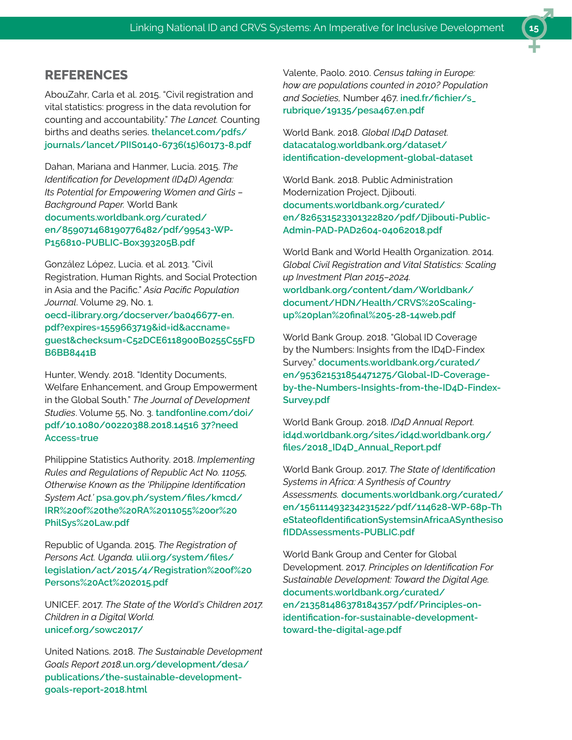### **REFERENCES**

AbouZahr, Carla et al. 2015. "Civil registration and vital statistics: progress in the data revolution for counting and accountability." *The Lancet.* Counting births and deaths series. **[thelancet.com/pdfs/](http://www.thelancet.com/pdfs/journals/lancet/PIIS0140-6736(15)60173-8.pdf) [journals/lancet/PIIS0140-6736\(15\)60173-8.pdf](http://www.thelancet.com/pdfs/journals/lancet/PIIS0140-6736(15)60173-8.pdf)**

Dahan, Mariana and Hanmer, Lucia. 2015. *The Identification for Development (ID4D) Agenda: Its Potential for Empowering Women and Girls – Background Paper.* World Bank **[documents.worldbank.org/curated/](http://documents.worldbank.org/curated/en/859071468190776482/pdf/99543-WP-P156810-PUBLIC-Box393205B.pdf) [en/859071468190776482/pdf/99543-WP-](http://documents.worldbank.org/curated/en/859071468190776482/pdf/99543-WP-P156810-PUBLIC-Box393205B.pdf)[P156810-PUBLIC-Box393205B.pdf](http://documents.worldbank.org/curated/en/859071468190776482/pdf/99543-WP-P156810-PUBLIC-Box393205B.pdf)**

González López, Lucia. et al. 2013. "Civil Registration, Human Rights, and Social Protection in Asia and the Pacific." *Asia Pacific Population Journal*. Volume 29, No. 1. **[oecd-ilibrary.org/docserver/ba046677-en.](http://www.oecd-ilibrary.org/docserver/ba046677-en.pdf?expires=1559663719&id=id&accname=guest&checksum=C52DCE6118900B0255C55FDB6BB8441B) [pdf?expires=1559663719&id=id&accname=](http://www.oecd-ilibrary.org/docserver/ba046677-en.pdf?expires=1559663719&id=id&accname=guest&checksum=C52DCE6118900B0255C55FDB6BB8441B) [guest&checksum=C52DCE6118900B0255C55FD](http://www.oecd-ilibrary.org/docserver/ba046677-en.pdf?expires=1559663719&id=id&accname=guest&checksum=C52DCE6118900B0255C55FDB6BB8441B) [B6BB8441B](http://www.oecd-ilibrary.org/docserver/ba046677-en.pdf?expires=1559663719&id=id&accname=guest&checksum=C52DCE6118900B0255C55FDB6BB8441B)**

Hunter, Wendy. 2018. "Identity Documents, Welfare Enhancement, and Group Empowerment in the Global South." *The Journal of Development Studies*. Volume 55, No. 3. **[tandfonline.com/doi/](https://www.tandfonline.com/doi/pdf/10.1080/00220388.2018.1451637?needAccess=true) [pdf/10.1080/00220388.2018.14516 37?need](https://www.tandfonline.com/doi/pdf/10.1080/00220388.2018.1451637?needAccess=true) [Access=true](https://www.tandfonline.com/doi/pdf/10.1080/00220388.2018.1451637?needAccess=true)**

Philippine Statistics Authority. 2018. *Implementing Rules and Regulations of Republic Act No. 11055, Otherwise Known as the 'Philippine Identification System Act.'* **[psa.gov.ph/system/files/kmcd/](https://psa.gov.ph/system/files/kmcd/IRR%20of%20the%20RA%2011055%20or%20PhilSys%20Law.pdf) [IRR%20of%20the%20RA%2011055%20or%20](https://psa.gov.ph/system/files/kmcd/IRR%20of%20the%20RA%2011055%20or%20PhilSys%20Law.pdf) [PhilSys%20Law.pdf](https://psa.gov.ph/system/files/kmcd/IRR%20of%20the%20RA%2011055%20or%20PhilSys%20Law.pdf)**

Republic of Uganda. 2015. *The Registration of Persons Act. Uganda.* **[ulii.org/system/files/](https://ulii.org/system/files/legislation/act/2015/4/Registration%20of%20Persons%20Act%202015.pdf) [legislation/act/2015/4/Registration%20of%20](https://ulii.org/system/files/legislation/act/2015/4/Registration%20of%20Persons%20Act%202015.pdf) [Persons%20Act%202015.pdf](https://ulii.org/system/files/legislation/act/2015/4/Registration%20of%20Persons%20Act%202015.pdf)**

UNICEF. 2017. *The State of the World's Children 2017. Children in a Digital World.* **[unicef.org/sowc2017/](https://www.unicef.org/sowc2017/)**

United Nations. 2018. *The Sustainable Development Goals Report 2018.***[un.org/development/desa/](https://www.un.org/development/desa/publications/the-sustainable-development-goals-report-2018.html) [publications/the-sustainable-development](https://www.un.org/development/desa/publications/the-sustainable-development-goals-report-2018.html)[goals-report-2018.html](https://www.un.org/development/desa/publications/the-sustainable-development-goals-report-2018.html)**

Valente, Paolo. 2010. *Census taking in Europe: how are populations counted in 2010? Population and Societies,* Number 467. **[ined.fr/fichier/s\\_](https://www.ined.fr/fichier/s_rubrique/19135/pesa467.en.pdf) [rubrique/19135/pesa467.en.pdf](https://www.ined.fr/fichier/s_rubrique/19135/pesa467.en.pdf)**

World Bank. 2018. *Global ID4D Dataset.*  **[datacatalog.worldbank.org/dataset/](https://datacatalog.worldbank.org/dataset/identification-development-global-dataset) [identification-development-global-dataset](https://datacatalog.worldbank.org/dataset/identification-development-global-dataset)**

World Bank. 2018. Public Administration Modernization Project, Diibouti. **[documents.worldbank.org/curated/](http://documents.worldbank.org/curated/en/826531523301322820/pdf/Djibouti-Public-Admin-PAD-PAD2604-04062018.pdf) [en/826531523301322820/pdf/Djibouti-Public-](http://documents.worldbank.org/curated/en/826531523301322820/pdf/Djibouti-Public-Admin-PAD-PAD2604-04062018.pdf)[Admin-PAD-PAD2604-04062018.pdf](http://documents.worldbank.org/curated/en/826531523301322820/pdf/Djibouti-Public-Admin-PAD-PAD2604-04062018.pdf)**

World Bank and World Health Organization. 2014. *Global Civil Registration and Vital Statistics: Scaling up Investment Plan 2015–2024.* **[worldbank.org/content/dam/Worldbank/](http://www.worldbank.org/content/dam/Worldbank/document/HDN/Health/CRVS%20Scaling-up%20plan%20final%205-28-14web.pdf) [document/HDN/Health/CRVS%20Scaling](http://www.worldbank.org/content/dam/Worldbank/document/HDN/Health/CRVS%20Scaling-up%20plan%20final%205-28-14web.pdf)[up%20plan%20final%205-28-14web.pdf](http://www.worldbank.org/content/dam/Worldbank/document/HDN/Health/CRVS%20Scaling-up%20plan%20final%205-28-14web.pdf)**

World Bank Group. 2018. "Global ID Coverage by the Numbers: Insights from the ID4D-Findex Survey." **[documents.worldbank.org/curated/](http://documents.worldbank.org/curated/en/953621531854471275/Global-ID-Coverage-by-the-Numbers-Insights-from-the-ID4D-Findex-Survey.pdf) [en/953621531854471275/Global-ID-Coverage](http://documents.worldbank.org/curated/en/953621531854471275/Global-ID-Coverage-by-the-Numbers-Insights-from-the-ID4D-Findex-Survey.pdf)[by-the-Numbers-Insights-from-the-ID4D-Findex-](http://documents.worldbank.org/curated/en/953621531854471275/Global-ID-Coverage-by-the-Numbers-Insights-from-the-ID4D-Findex-Survey.pdf)[Survey.pdf](http://documents.worldbank.org/curated/en/953621531854471275/Global-ID-Coverage-by-the-Numbers-Insights-from-the-ID4D-Findex-Survey.pdf)**

World Bank Group. 2018. *ID4D Annual Report.*  **[id4d.worldbank.org/sites/id4d.worldbank.org/](https://id4d.worldbank.org/sites/id4d.worldbank.org/files/2018_ID4D_Annual_Report.pdf) [files/2018\\_ID4D\\_Annual\\_Report.pdf](https://id4d.worldbank.org/sites/id4d.worldbank.org/files/2018_ID4D_Annual_Report.pdf)**

World Bank Group. 2017. *The State of Identification Systems in Africa: A Synthesis of Country Assessments.* **[documents.worldbank.org/curated/](http://documents.worldbank.org/curated/en/156111493234231522/pdf/114628-WP-68p-TheStateofIdentificationSystemsinAfricaASynthesisofIDDAssessments-PUBLIC.pdf) [en/156111493234231522/pdf/114628-WP-68p-Th](http://documents.worldbank.org/curated/en/156111493234231522/pdf/114628-WP-68p-TheStateofIdentificationSystemsinAfricaASynthesisofIDDAssessments-PUBLIC.pdf) [eStateofIdentificationSystemsinAfricaASynthesiso](http://documents.worldbank.org/curated/en/156111493234231522/pdf/114628-WP-68p-TheStateofIdentificationSystemsinAfricaASynthesisofIDDAssessments-PUBLIC.pdf) [fIDDAssessments-PUBLIC.pdf](http://documents.worldbank.org/curated/en/156111493234231522/pdf/114628-WP-68p-TheStateofIdentificationSystemsinAfricaASynthesisofIDDAssessments-PUBLIC.pdf)**

World Bank Group and Center for Global Development. 2017. *Principles on Identification For Sustainable Development: Toward the Digital Age.* **[documents.worldbank.org/curated/](http://documents.worldbank.org/curated/en/213581486378184357/pdf/Principles-on-identification-for-sustainable-development-toward-the-digital-age.pdf) [en/213581486378184357/pdf/Principles-on](http://documents.worldbank.org/curated/en/213581486378184357/pdf/Principles-on-identification-for-sustainable-development-toward-the-digital-age.pdf)[identification-for-sustainable-development](http://documents.worldbank.org/curated/en/213581486378184357/pdf/Principles-on-identification-for-sustainable-development-toward-the-digital-age.pdf)[toward-the-digital-age.pdf](http://documents.worldbank.org/curated/en/213581486378184357/pdf/Principles-on-identification-for-sustainable-development-toward-the-digital-age.pdf)**